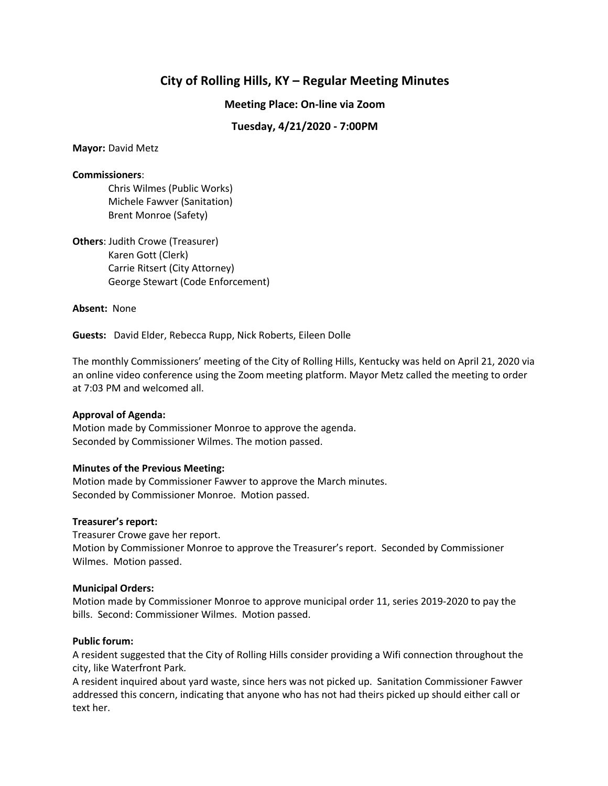# **City of Rolling Hills, KY – Regular Meeting Minutes**

**Meeting Place: On-line via Zoom**

# **Tuesday, 4/21/2020 - 7:00PM**

**Mayor:** David Metz

### **Commissioners**:

Chris Wilmes (Public Works) Michele Fawver (Sanitation) Brent Monroe (Safety)

**Others**: Judith Crowe (Treasurer) Karen Gott (Clerk) Carrie Ritsert (City Attorney) George Stewart (Code Enforcement)

### **Absent:** None

**Guests:** David Elder, Rebecca Rupp, Nick Roberts, Eileen Dolle

The monthly Commissioners' meeting of the City of Rolling Hills, Kentucky was held on April 21, 2020 via an online video conference using the Zoom meeting platform. Mayor Metz called the meeting to order at 7:03 PM and welcomed all.

# **Approval of Agenda:**

Motion made by Commissioner Monroe to approve the agenda. Seconded by Commissioner Wilmes. The motion passed.

# **Minutes of the Previous Meeting:**

Motion made by Commissioner Fawver to approve the March minutes. Seconded by Commissioner Monroe. Motion passed.

# **Treasurer's report:**

Treasurer Crowe gave her report. Motion by Commissioner Monroe to approve the Treasurer's report. Seconded by Commissioner Wilmes. Motion passed.

### **Municipal Orders:**

Motion made by Commissioner Monroe to approve municipal order 11, series 2019-2020 to pay the bills. Second: Commissioner Wilmes. Motion passed.

# **Public forum:**

A resident suggested that the City of Rolling Hills consider providing a Wifi connection throughout the city, like Waterfront Park.

A resident inquired about yard waste, since hers was not picked up. Sanitation Commissioner Fawver addressed this concern, indicating that anyone who has not had theirs picked up should either call or text her.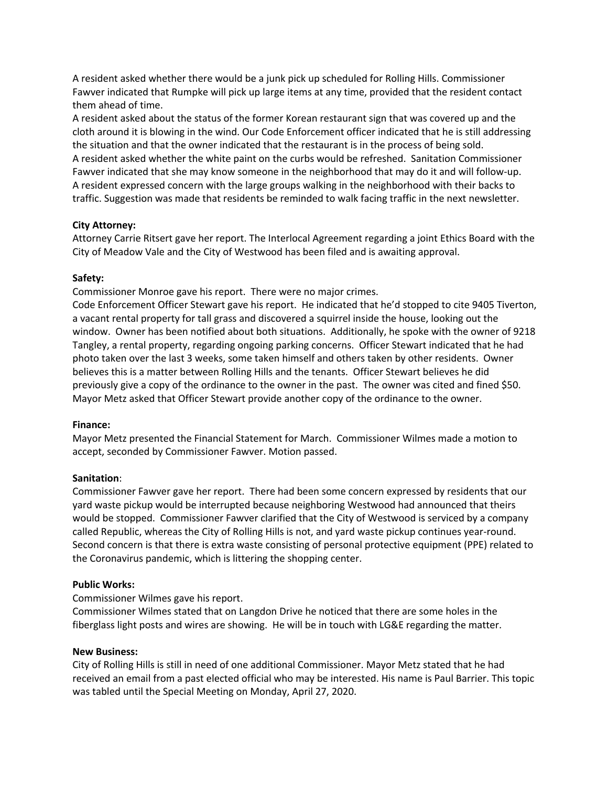A resident asked whether there would be a junk pick up scheduled for Rolling Hills. Commissioner Fawver indicated that Rumpke will pick up large items at any time, provided that the resident contact them ahead of time.

A resident asked about the status of the former Korean restaurant sign that was covered up and the cloth around it is blowing in the wind. Our Code Enforcement officer indicated that he is still addressing the situation and that the owner indicated that the restaurant is in the process of being sold. A resident asked whether the white paint on the curbs would be refreshed. Sanitation Commissioner Fawver indicated that she may know someone in the neighborhood that may do it and will follow-up. A resident expressed concern with the large groups walking in the neighborhood with their backs to traffic. Suggestion was made that residents be reminded to walk facing traffic in the next newsletter.

# **City Attorney:**

Attorney Carrie Ritsert gave her report. The Interlocal Agreement regarding a joint Ethics Board with the City of Meadow Vale and the City of Westwood has been filed and is awaiting approval.

# **Safety:**

Commissioner Monroe gave his report. There were no major crimes.

Code Enforcement Officer Stewart gave his report. He indicated that he'd stopped to cite 9405 Tiverton, a vacant rental property for tall grass and discovered a squirrel inside the house, looking out the window. Owner has been notified about both situations. Additionally, he spoke with the owner of 9218 Tangley, a rental property, regarding ongoing parking concerns. Officer Stewart indicated that he had photo taken over the last 3 weeks, some taken himself and others taken by other residents. Owner believes this is a matter between Rolling Hills and the tenants. Officer Stewart believes he did previously give a copy of the ordinance to the owner in the past. The owner was cited and fined \$50. Mayor Metz asked that Officer Stewart provide another copy of the ordinance to the owner.

# **Finance:**

Mayor Metz presented the Financial Statement for March. Commissioner Wilmes made a motion to accept, seconded by Commissioner Fawver. Motion passed.

# **Sanitation**:

Commissioner Fawver gave her report. There had been some concern expressed by residents that our yard waste pickup would be interrupted because neighboring Westwood had announced that theirs would be stopped. Commissioner Fawver clarified that the City of Westwood is serviced by a company called Republic, whereas the City of Rolling Hills is not, and yard waste pickup continues year-round. Second concern is that there is extra waste consisting of personal protective equipment (PPE) related to the Coronavirus pandemic, which is littering the shopping center.

# **Public Works:**

Commissioner Wilmes gave his report.

Commissioner Wilmes stated that on Langdon Drive he noticed that there are some holes in the fiberglass light posts and wires are showing. He will be in touch with LG&E regarding the matter.

# **New Business:**

City of Rolling Hills is still in need of one additional Commissioner. Mayor Metz stated that he had received an email from a past elected official who may be interested. His name is Paul Barrier. This topic was tabled until the Special Meeting on Monday, April 27, 2020.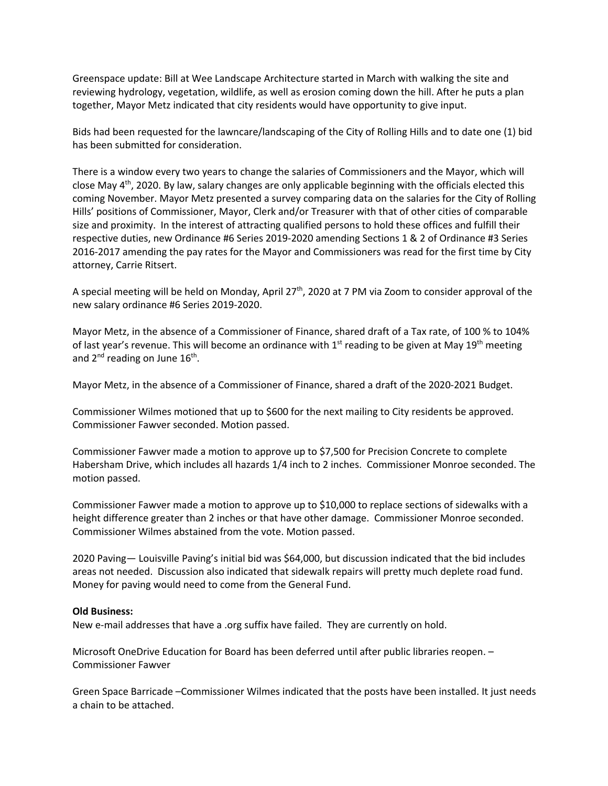Greenspace update: Bill at Wee Landscape Architecture started in March with walking the site and reviewing hydrology, vegetation, wildlife, as well as erosion coming down the hill. After he puts a plan together, Mayor Metz indicated that city residents would have opportunity to give input.

Bids had been requested for the lawncare/landscaping of the City of Rolling Hills and to date one (1) bid has been submitted for consideration.

There is a window every two years to change the salaries of Commissioners and the Mayor, which will close May  $4<sup>th</sup>$ , 2020. By law, salary changes are only applicable beginning with the officials elected this coming November. Mayor Metz presented a survey comparing data on the salaries for the City of Rolling Hills' positions of Commissioner, Mayor, Clerk and/or Treasurer with that of other cities of comparable size and proximity. In the interest of attracting qualified persons to hold these offices and fulfill their respective duties, new Ordinance #6 Series 2019-2020 amending Sections 1 & 2 of Ordinance #3 Series 2016-2017 amending the pay rates for the Mayor and Commissioners was read for the first time by City attorney, Carrie Ritsert.

A special meeting will be held on Monday, April 27<sup>th</sup>, 2020 at 7 PM via Zoom to consider approval of the new salary ordinance #6 Series 2019-2020.

Mayor Metz, in the absence of a Commissioner of Finance, shared draft of a Tax rate, of 100 % to 104% of last year's revenue. This will become an ordinance with  $1<sup>st</sup>$  reading to be given at May  $19<sup>th</sup>$  meeting and  $2^{nd}$  reading on June  $16^{th}$ .

Mayor Metz, in the absence of a Commissioner of Finance, shared a draft of the 2020-2021 Budget.

Commissioner Wilmes motioned that up to \$600 for the next mailing to City residents be approved. Commissioner Fawver seconded. Motion passed.

Commissioner Fawver made a motion to approve up to \$7,500 for Precision Concrete to complete Habersham Drive, which includes all hazards 1/4 inch to 2 inches. Commissioner Monroe seconded. The motion passed.

Commissioner Fawver made a motion to approve up to \$10,000 to replace sections of sidewalks with a height difference greater than 2 inches or that have other damage. Commissioner Monroe seconded. Commissioner Wilmes abstained from the vote. Motion passed.

2020 Paving— Louisville Paving's initial bid was \$64,000, but discussion indicated that the bid includes areas not needed. Discussion also indicated that sidewalk repairs will pretty much deplete road fund. Money for paving would need to come from the General Fund.

#### **Old Business:**

New e-mail addresses that have a .org suffix have failed. They are currently on hold.

Microsoft OneDrive Education for Board has been deferred until after public libraries reopen. – Commissioner Fawver

Green Space Barricade –Commissioner Wilmes indicated that the posts have been installed. It just needs a chain to be attached.